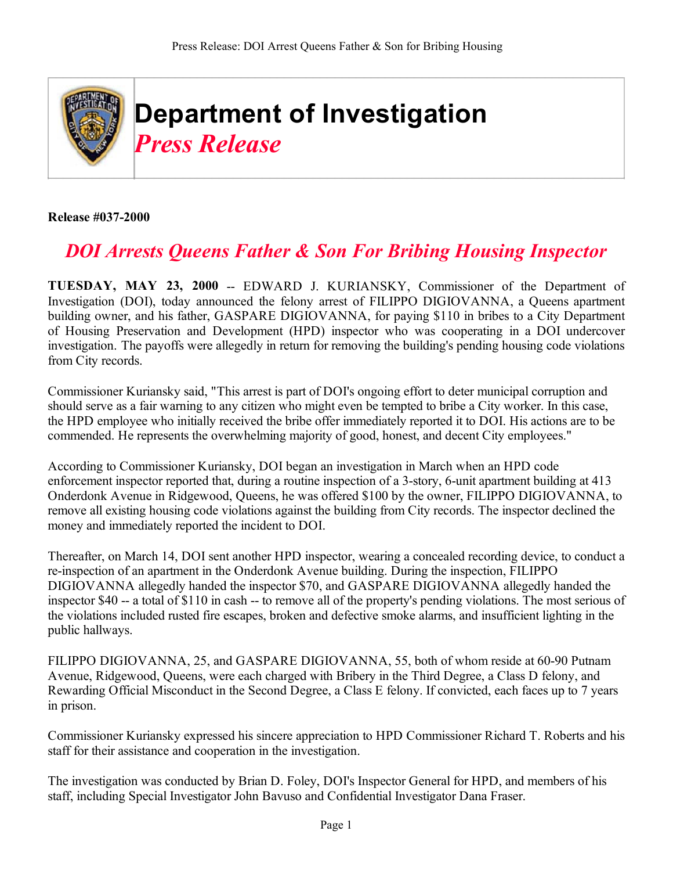

**Release #037-2000**

## *DOI Arrests Queens Father & Son For Bribing Housing Inspector*

**TUESDAY, MAY 23, 2000** -- EDWARD J. KURIANSKY, Commissioner of the Department of Investigation (DOI), today announced the felony arrest of FILIPPO DIGIOVANNA, a Queens apartment building owner, and his father, GASPARE DIGIOVANNA, for paying \$110 in bribes to a City Department of Housing Preservation and Development (HPD) inspector who was cooperating in a DOI undercover investigation. The payoffs were allegedly in return for removing the building's pending housing code violations from City records.

Commissioner Kuriansky said, "This arrest is part of DOI's ongoing effort to deter municipal corruption and should serve as a fair warning to any citizen who might even be tempted to bribe a City worker. In this case, the HPD employee who initially received the bribe offer immediately reported it to DOI. His actions are to be commended. He represents the overwhelming majority of good, honest, and decent City employees."

According to Commissioner Kuriansky, DOI began an investigation in March when an HPD code enforcement inspector reported that, during a routine inspection of a 3-story, 6-unit apartment building at 413 Onderdonk Avenue in Ridgewood, Queens, he was offered \$100 by the owner, FILIPPO DIGIOVANNA, to remove all existing housing code violations against the building from City records. The inspector declined the money and immediately reported the incident to DOI.

Thereafter, on March 14, DOI sent another HPD inspector, wearing a concealed recording device, to conduct a re-inspection of an apartment in the Onderdonk Avenue building. During the inspection, FILIPPO DIGIOVANNA allegedly handed the inspector \$70, and GASPARE DIGIOVANNA allegedly handed the inspector \$40 -- a total of \$110 in cash -- to remove all of the property's pending violations. The most serious of the violations included rusted fire escapes, broken and defective smoke alarms, and insufficient lighting in the public hallways.

FILIPPO DIGIOVANNA, 25, and GASPARE DIGIOVANNA, 55, both of whom reside at 60-90 Putnam Avenue, Ridgewood, Queens, were each charged with Bribery in the Third Degree, a Class D felony, and Rewarding Official Misconduct in the Second Degree, a Class E felony. If convicted, each faces up to 7 years in prison.

Commissioner Kuriansky expressed his sincere appreciation to HPD Commissioner Richard T. Roberts and his staff for their assistance and cooperation in the investigation.

The investigation was conducted by Brian D. Foley, DOI's Inspector General for HPD, and members of his staff, including Special Investigator John Bavuso and Confidential Investigator Dana Fraser.